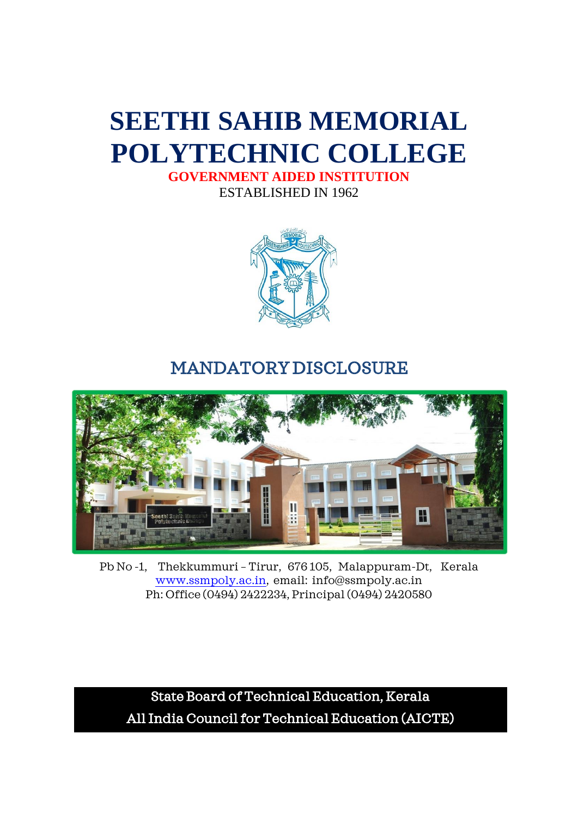## **SEETHI SAHIB MEMORIAL POLYTECHNIC COLLEGE**

**GOVERNMENT AIDED INSTITUTION** ESTABLISHED IN 1962



### MANDATORY DISCLOSURE



Pb No -1, Thekkummuri – Tirur, 676 105, Malappuram-Dt, Kerala [www.ssmpoly.ac.in,](http://www.ssmpoly.ac.in/) email: info@ssmpoly.ac.in Ph: Office (0494) 2422234, Principal (0494) 2420580

State Board of Technical Education, Kerala All India Council for Technical Education (AICTE)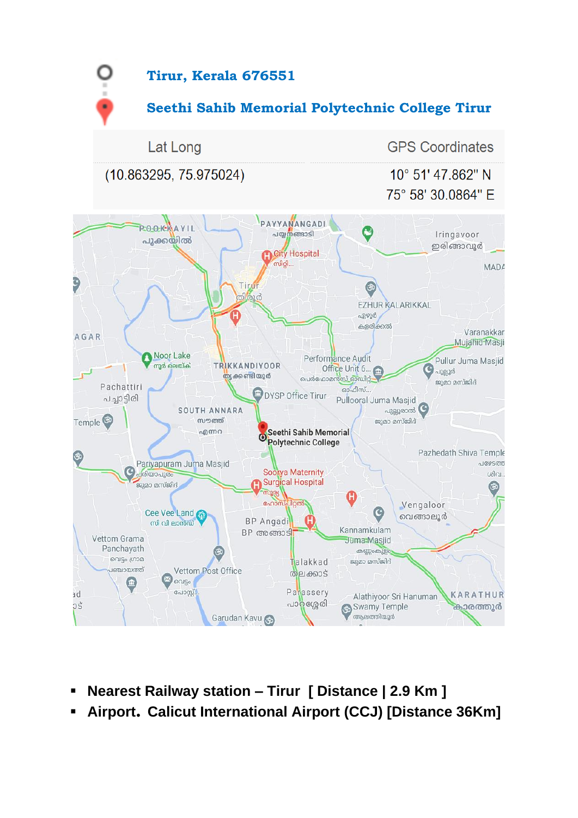

- **Nearest Railway station – Tirur [ Distance | 2.9 Km ]**
- **Airport. Calicut International Airport (CCJ) [Distance 36Km]**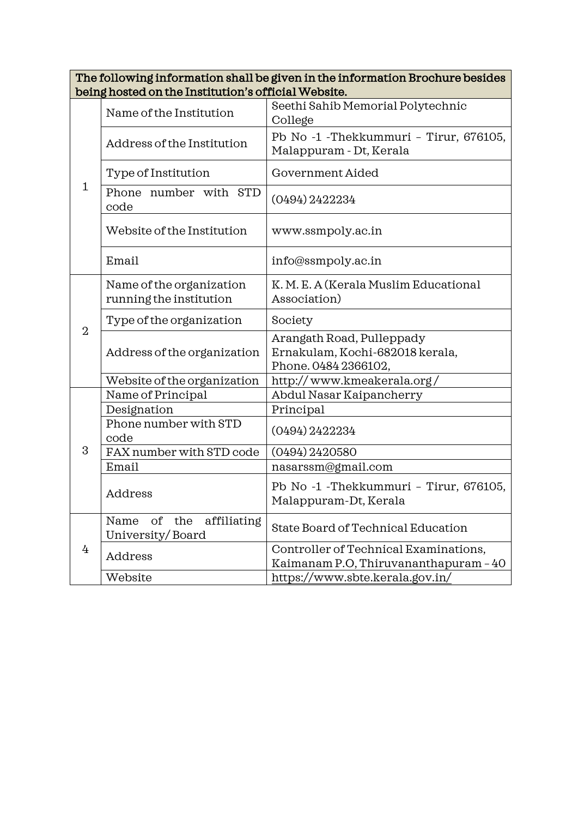| The following information shall be given in the information Brochure besides |
|------------------------------------------------------------------------------|
| being hosted on the Institution's official Website.                          |

|                | Name of the Institution                              | Seethi Sahib Memorial Polytechnic<br>College                                         |  |
|----------------|------------------------------------------------------|--------------------------------------------------------------------------------------|--|
| $\mathbf{1}$   | Address of the Institution                           | Pb No -1 - Thekkummuri - Tirur, 676105,<br>Malappuram - Dt, Kerala                   |  |
|                | Type of Institution                                  | Government Aided                                                                     |  |
|                | Phone number with STD<br>code                        | $(0494)$ 2422234                                                                     |  |
|                | Website of the Institution                           | www.ssmpoly.ac.in                                                                    |  |
|                | Email                                                | info@ssmpoly.ac.in                                                                   |  |
| $\overline{2}$ | Name of the organization<br>running the institution  | K. M. E. A (Kerala Muslim Educational<br>Association)                                |  |
|                | Type of the organization                             | Society                                                                              |  |
|                | Address of the organization                          | Arangath Road, Pulleppady<br>Ernakulam, Kochi-682018 kerala,<br>Phone. 0484 2366102, |  |
|                | Website of the organization                          | http://www.kmeakerala.org/                                                           |  |
|                | Name of Principal                                    | Abdul Nasar Kaipancherry                                                             |  |
|                | Designation                                          | Principal                                                                            |  |
|                | Phone number with STD<br>code                        | $(0494)$ 2422234                                                                     |  |
| 3              | FAX number with STD code                             | $(0494)$ 2420580                                                                     |  |
|                | Email                                                | nasarssm@gmail.com                                                                   |  |
|                | Address                                              | Pb No -1 - Thekkummuri - Tirur, 676105,<br>Malappuram-Dt, Kerala                     |  |
|                | Name<br>of<br>affiliating<br>the<br>University/Board | State Board of Technical Education                                                   |  |
| 4              | Address                                              | Controller of Technical Examinations,                                                |  |
|                |                                                      | Kaimanam P.O, Thiruvananthapuram - 40                                                |  |
|                | Website                                              | https://www.sbte.kerala.gov.in/                                                      |  |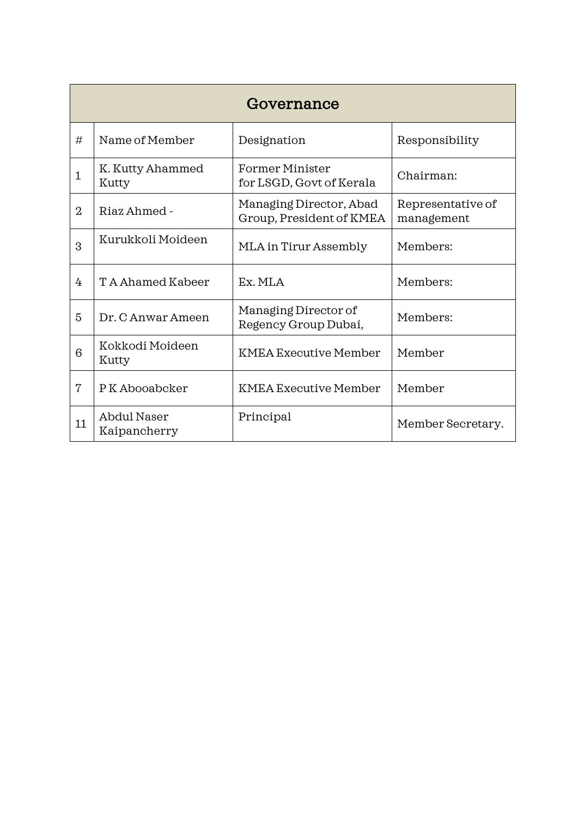|                | Governance                         |                                                     |                                 |  |
|----------------|------------------------------------|-----------------------------------------------------|---------------------------------|--|
| #              | Name of Member                     | Designation                                         | Responsibility                  |  |
| $\mathbf{1}$   | K. Kutty Ahammed<br>Kutty          | Former Minister<br>for LSGD, Govt of Kerala         | Chairman:                       |  |
| $\overline{2}$ | Riaz Ahmed -                       | Managing Director, Abad<br>Group, President of KMEA | Representative of<br>management |  |
| 3              | Kurukkoli Moideen                  | MLA in Tirur Assembly                               | Members:                        |  |
| 4              | T A Ahamed Kabeer                  | Ex. MLA                                             | Members:                        |  |
| 5              | Dr. C Anwar Ameen                  | Managing Director of<br>Regency Group Dubai,        | Members:                        |  |
| 6              | Kokkodi Moideen<br>Kutty           | <b>KMEA Executive Member</b>                        | Member                          |  |
| 7              | P K Abooabcker                     | <b>KMEA</b> Executive Member                        | Member                          |  |
| 11             | <b>Abdul Naser</b><br>Kaipancherry | Principal                                           | Member Secretary.               |  |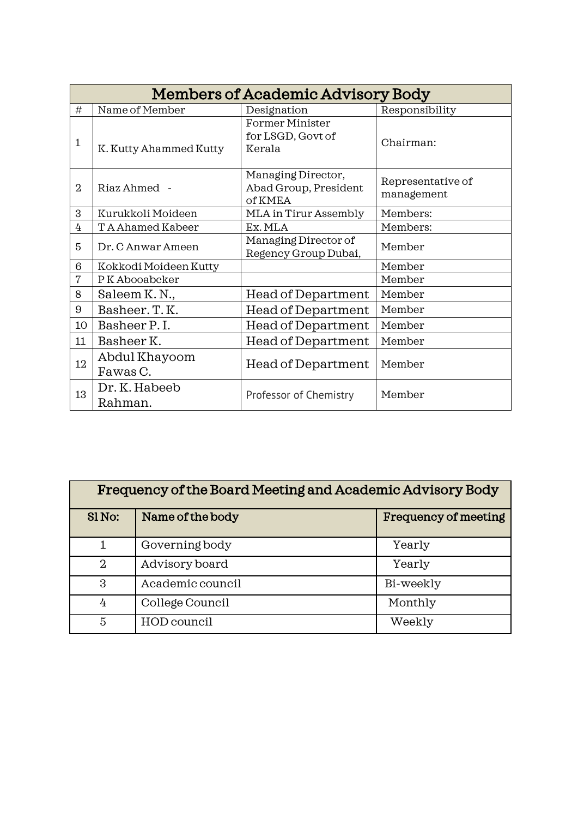|                | <b>Members of Academic Advisory Body</b> |                                                        |                                 |  |  |
|----------------|------------------------------------------|--------------------------------------------------------|---------------------------------|--|--|
| #              | Name of Member                           | Designation                                            | Responsibility                  |  |  |
| $\mathbf{1}$   | K. Kutty Ahammed Kutty                   | <b>Former Minister</b><br>for LSGD, Govt of<br>Kerala  | Chairman:                       |  |  |
| $\overline{2}$ | Riaz Ahmed -                             | Managing Director,<br>Abad Group, President<br>of KMEA | Representative of<br>management |  |  |
| 3              | Kurukkoli Moideen                        | MLA in Tirur Assembly                                  | Members:                        |  |  |
| 4              | TA Ahamed Kabeer                         | Ex. MLA                                                | Members:                        |  |  |
| 5              | Dr. C Anwar Ameen                        | Managing Director of<br>Regency Group Dubai,           | Member                          |  |  |
| 6              | Kokkodi Moideen Kutty                    |                                                        | Member                          |  |  |
| $\overline{7}$ | PK Abooabcker                            |                                                        | Member                          |  |  |
| 8              | Saleem K.N.,                             | Head of Department                                     | Member                          |  |  |
| 9              | Basheer. T. K.                           | Head of Department                                     | Member                          |  |  |
| 10             | Basheer P.I.                             | Head of Department                                     | Member                          |  |  |
| 11             | Basheer K.                               | <b>Head of Department</b>                              | Member                          |  |  |
| 12             | Abdul Khayoom<br>Fawas C.                | Head of Department                                     | Member                          |  |  |
| 13             | Dr. K. Habeeb<br>Rahman.                 | Professor of Chemistry                                 | Member                          |  |  |

| Frequency of the Board Meeting and Academic Advisory Body |                  |                             |  |
|-----------------------------------------------------------|------------------|-----------------------------|--|
| SlNo:                                                     | Name of the body | <b>Frequency of meeting</b> |  |
|                                                           | Governing body   | Yearly                      |  |
| $\mathfrak{D}$                                            | Advisory board   | Yearly                      |  |
| 3                                                         | Academic council | Bi-weekly                   |  |
| 4                                                         | College Council  | Monthly                     |  |
| 5                                                         | HOD council      | Weekly                      |  |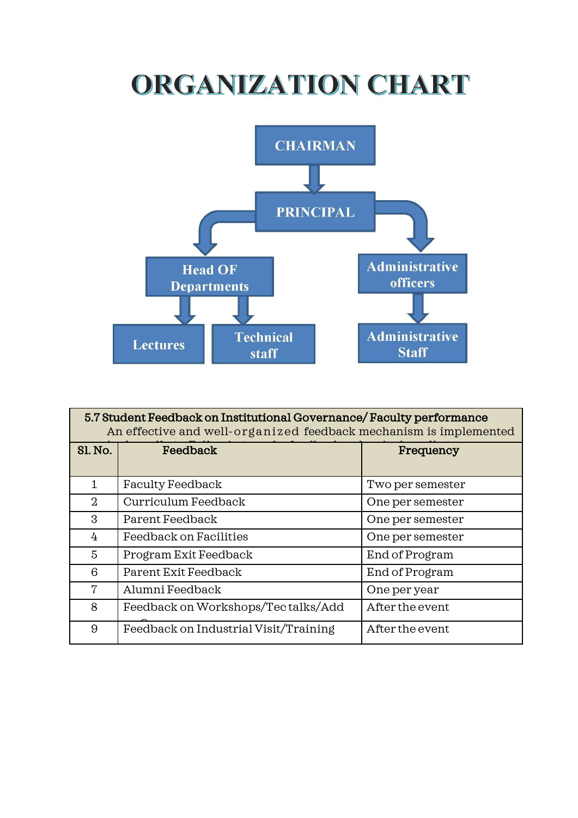# ORGANIZATION CHART



| 5.7 Student Feedback on Institutional Governance/Faculty performance<br>An effective and well-organized feedback mechanism is implemented |                                       |                  |  |
|-------------------------------------------------------------------------------------------------------------------------------------------|---------------------------------------|------------------|--|
| <b>Sl. No.</b>                                                                                                                            | Feedback                              | Frequency        |  |
| 1.                                                                                                                                        | <b>Faculty Feedback</b>               | Two per semester |  |
| 2                                                                                                                                         | Curriculum Feedback                   | One per semester |  |
| 3                                                                                                                                         | Parent Feedback                       | One per semester |  |
| 4                                                                                                                                         | Feedback on Facilities                | One per semester |  |
| 5                                                                                                                                         | Program Exit Feedback                 | End of Program   |  |
| 6                                                                                                                                         | Parent Exit Feedback                  | End of Program   |  |
| 7                                                                                                                                         | Alumni Feedback                       | One per year     |  |
| 8                                                                                                                                         | Feedback on Workshops/Tectalks/Add    | After the event  |  |
| 9                                                                                                                                         | Feedback on Industrial Visit/Training | After the event  |  |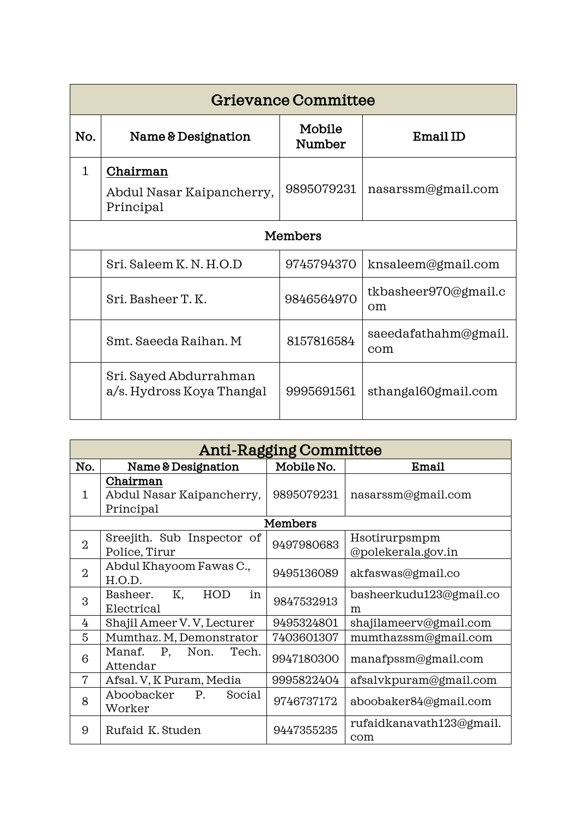|              | <b>Grievance Committee</b>                          |                  |                                    |  |  |
|--------------|-----------------------------------------------------|------------------|------------------------------------|--|--|
| No.          | Name & Designation                                  | Mobile<br>Number | Email ID                           |  |  |
| $\mathbf{1}$ | Chairman<br>Abdul Nasar Kaipancherry,<br>Principal  | 9895079231       | nasarssm@gmail.com                 |  |  |
|              | <b>Members</b>                                      |                  |                                    |  |  |
|              | Sri. Saleem K.N.H.O.D                               | 9745794370       | knsaleem@gmail.com                 |  |  |
|              | Sri. Basheer T. K.                                  | 9846564970       | tkbasheer970@gmail.c<br>$\alpha$ m |  |  |
|              | Smt. Saeeda Raihan. M                               | 8157816584       | saeedafathahm@gmail.<br>com        |  |  |
|              | Sri. Sayed Abdurrahman<br>a/s. Hydross Koya Thangal | 9995691561       | sthangal60gmail.com                |  |  |

|                | <b>Anti-Ragging Committee</b> |                |                          |  |
|----------------|-------------------------------|----------------|--------------------------|--|
| No.            | Name & Designation            | Mobile No.     | Email                    |  |
|                | Chairman                      |                |                          |  |
| 1              | Abdul Nasar Kaipancherry,     | 9895079231     | nasarssm@gmail.com       |  |
|                | Principal                     |                |                          |  |
|                |                               | <b>Members</b> |                          |  |
| $\overline{2}$ | Sreejith. Sub Inspector of    | 9497980683     | Hsotirurpsmpm            |  |
|                | Police, Tirur                 |                | @polekerala.gov.in       |  |
| $\overline{2}$ | Abdul Khayoom Fawas C.,       | 9495136089     | akfaswas@gmail.co        |  |
|                | H.O.D.                        |                |                          |  |
| 3              | HOD<br>Basheer.<br>K,<br>in   | 9847532913     | basheerkudu123@gmail.co  |  |
|                | Electrical                    |                | m                        |  |
| 4              | Shajil Ameer V.V, Lecturer    | 9495324801     | shajilameerv@gmail.com   |  |
| 5              | Mumthaz. M, Demonstrator      | 7403601307     | mumthazssm@gmail.com     |  |
| 6              | P, Non.<br>Manaf.<br>Tech.    | 9947180300     | manafpssm@gmail.com      |  |
|                | Attendar                      |                |                          |  |
| 7              | Afsal. V, K Puram, Media      | 9995822404     | afsalvkpuram@gmail.com   |  |
| 8              | Aboobacker<br>P.<br>Social    | 9746737172     | aboobaker84@gmail.com    |  |
|                | Worker                        |                |                          |  |
| 9              | Rufaid K. Studen              | 9447355235     | rufaidkanavath123@gmail. |  |
|                |                               |                | com                      |  |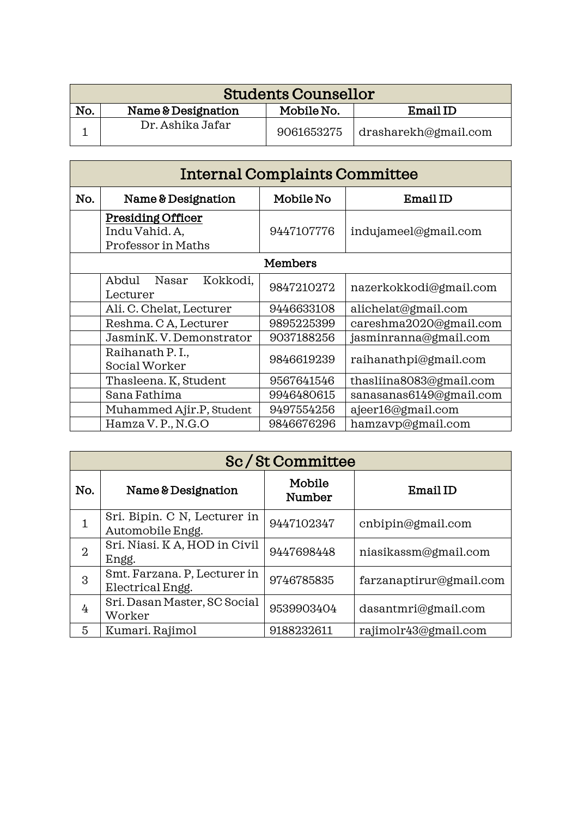| <b>Students Counsellor</b> |                    |            |                      |
|----------------------------|--------------------|------------|----------------------|
| No.                        | Name & Designation | Mobile No. | Email ID             |
|                            | Dr. Ashika Jafar   | 9061653275 | drasharekh@gmail.com |

|                | <b>Internal Complaints Committee</b>                             |            |                         |  |
|----------------|------------------------------------------------------------------|------------|-------------------------|--|
| No.            | Name & Designation                                               | Mobile No  | Email ID                |  |
|                | <b>Presiding Officer</b><br>Indu Vahid. A,<br>Professor in Maths | 9447107776 | indujameel@gmail.com    |  |
| <b>Members</b> |                                                                  |            |                         |  |
|                | Abdul<br>Nasar<br>Kokkodi,<br>Lecturer                           | 9847210272 | nazerkokkodi@gmail.com  |  |
|                | Ali. C. Chelat, Lecturer                                         | 9446633108 | alichelat@gmail.com     |  |
|                | Reshma. CA, Lecturer                                             | 9895225399 | careshma2020@gmail.com  |  |
|                | JasminK. V. Demonstrator                                         | 9037188256 | jasminranna@gmail.com   |  |
|                | Raihanath P.I.,<br>Social Worker                                 | 9846619239 | raihanathpi@gmail.com   |  |
|                | Thasleena. K, Student                                            | 9567641546 | thasliina8083@gmail.com |  |
|                | Sana Fathima                                                     | 9946480615 | sanasanas6149@gmail.com |  |
|                | Muhammed Ajir.P, Student                                         | 9497554256 | ajeer16@gmail.com       |  |
|                | Hamza V.P., N.G.O                                                | 9846676296 | hamzavp@gmail.com       |  |

|                | Sc/St Committee                                  |                  |                         |  |
|----------------|--------------------------------------------------|------------------|-------------------------|--|
| No.            | Name & Designation                               | Mobile<br>Number | Email ID                |  |
| 1              | Sri. Bipin. C N, Lecturer in<br>Automobile Engg. | 9447102347       | cnbipin@gmail.com       |  |
| $\overline{2}$ | Sri. Niasi. K A, HOD in Civil<br>Engg.           | 9447698448       | niasikassm@gmail.com    |  |
| 3              | Smt. Farzana. P, Lecturer in<br>Electrical Engg. | 9746785835       | farzanaptirur@gmail.com |  |
| 4              | Sri. Dasan Master, SC Social<br>Worker           | 9539903404       | dasantmri@gmail.com     |  |
| 5              | Kumari. Rajimol                                  | 9188232611       | rajimolr43@gmail.com    |  |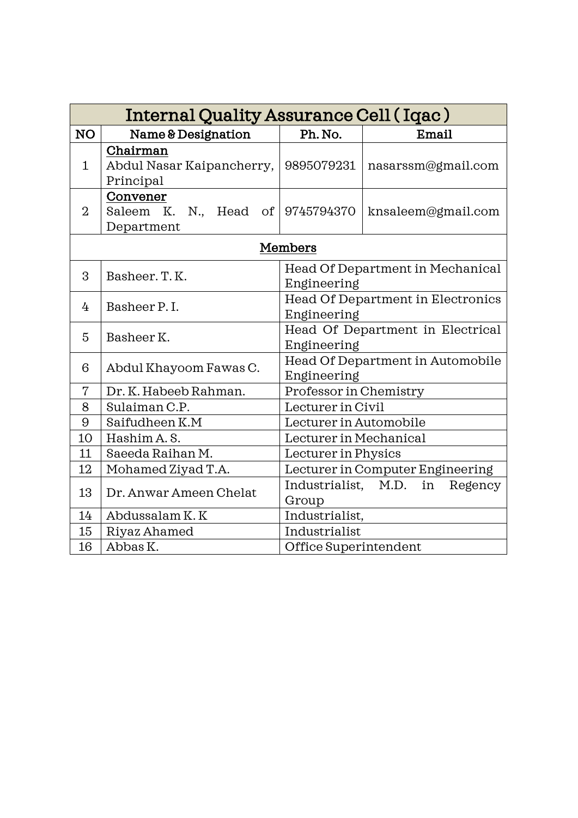|                | Internal Quality Assurance Cell (Iqac)                        |                                                  |                    |  |
|----------------|---------------------------------------------------------------|--------------------------------------------------|--------------------|--|
| NO             | Name & Designation                                            | Ph. No.                                          | Email              |  |
| $\mathbf{1}$   | Chairman<br>Abdul Nasar Kaipancherry,<br>Principal            | 9895079231                                       | nasarssm@gmail.com |  |
| $\overline{2}$ | Convener<br>Saleem K.<br>N., Head of 9745794370<br>Department |                                                  | knsaleem@gmail.com |  |
|                |                                                               | Members                                          |                    |  |
| 3              | Basheer. T. K.                                                | Head Of Department in Mechanical<br>Engineering  |                    |  |
| 4              | Basheer P.I.                                                  | Head Of Department in Electronics<br>Engineering |                    |  |
| 5              | Basheer K.                                                    | Head Of Department in Electrical<br>Engineering  |                    |  |
| 6              | Abdul Khayoom Fawas C.                                        | Head Of Department in Automobile<br>Engineering  |                    |  |
| 7              | Dr. K. Habeeb Rahman.                                         | Professor in Chemistry                           |                    |  |
| 8              | Sulaiman C.P.                                                 | Lecturer in Civil                                |                    |  |
| 9              | Saifudheen K.M                                                | Lecturer in Automobile                           |                    |  |
| 10             | Hashim A.S.                                                   | Lecturer in Mechanical                           |                    |  |
| 11             | Saeeda Raihan M.                                              | Lecturer in Physics                              |                    |  |
| 12             | Mohamed Ziyad T.A.                                            | Lecturer in Computer Engineering                 |                    |  |
| 13             | Dr. Anwar Ameen Chelat                                        | Industrialist, M.D.<br>in<br>Regency<br>Group    |                    |  |
| 14             | Abdussalam K.K                                                | Industrialist,                                   |                    |  |
| 15             | Riyaz Ahamed                                                  | Industrialist                                    |                    |  |
| 16             | Abbas K.                                                      | Office Superintendent                            |                    |  |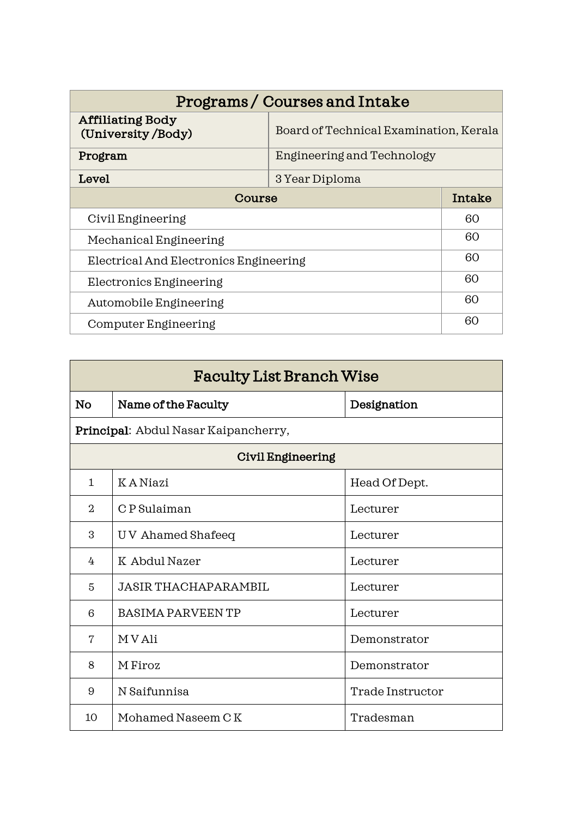| Programs/Courses and Intake                  |                                        |        |
|----------------------------------------------|----------------------------------------|--------|
| <b>Affiliating Body</b><br>(University/Body) | Board of Technical Examination, Kerala |        |
| Program                                      | Engineering and Technology             |        |
| Level                                        | 3 Year Diploma                         |        |
| Course                                       |                                        | Intake |
| Civil Engineering                            |                                        | 60     |
| Mechanical Engineering                       |                                        | 60     |
| Electrical And Electronics Engineering       |                                        | 60     |
| Electronics Engineering                      |                                        | 60     |
| Automobile Engineering                       |                                        | 60     |
| Computer Engineering                         |                                        | 60     |

| <b>Faculty List Branch Wise</b> |                                      |                  |
|---------------------------------|--------------------------------------|------------------|
| <b>No</b>                       | Name of the Faculty                  | Designation      |
|                                 | Principal: Abdul Nasar Kaipancherry, |                  |
| <b>Civil Engineering</b>        |                                      |                  |
| $\mathbf{1}$                    | K A Niazi                            | Head Of Dept.    |
| $\overline{2}$                  | C P Sulaiman                         | Lecturer         |
| 3                               | UV Ahamed Shafeeq                    | Lecturer         |
| 4                               | K Abdul Nazer                        | Lecturer         |
| 5                               | <b>JASIR THACHAPARAMBIL</b>          | Lecturer         |
| 6                               | <b>BASIMA PARVEEN TP</b>             | Lecturer         |
| 7                               | M V Ali                              | Demonstrator     |
| 8                               | M Firoz                              | Demonstrator     |
| 9                               | N Saifunnisa                         | Trade Instructor |
| 10                              | Mohamed Naseem CK                    | Tradesman        |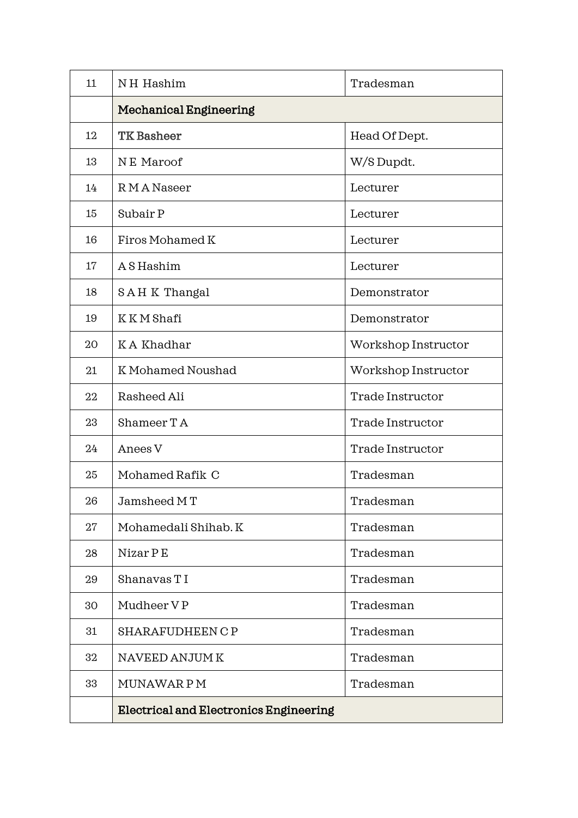| 11 | NH Hashim                                     | Tradesman           |
|----|-----------------------------------------------|---------------------|
|    | <b>Mechanical Engineering</b>                 |                     |
| 12 | <b>TK</b> Basheer                             | Head Of Dept.       |
| 13 | NE Maroof                                     | W/S Dupdt.          |
| 14 | RMA Naseer                                    | Lecturer            |
| 15 | Subair P                                      | Lecturer            |
| 16 | Firos Mohamed K                               | Lecturer            |
| 17 | A S Hashim                                    | Lecturer            |
| 18 | SAHK Thangal                                  | Demonstrator        |
| 19 | K K M Shafi                                   | Demonstrator        |
| 20 | KA Khadhar                                    | Workshop Instructor |
| 21 | K Mohamed Noushad                             | Workshop Instructor |
| 22 | Rasheed Ali                                   | Trade Instructor    |
| 23 | Shameer TA                                    | Trade Instructor    |
| 24 | Anees V                                       | Trade Instructor    |
| 25 | Mohamed Rafik C                               | Tradesman           |
| 26 | Jamsheed MT                                   | Tradesman           |
| 27 | Mohamedali Shihab. K                          | Tradesman           |
| 28 | Nizar P E                                     | Tradesman           |
| 29 | Shanavas T I                                  | Tradesman           |
| 30 | Mudheer VP                                    | Tradesman           |
| 31 | <b>SHARAFUDHEEN C P</b>                       | Tradesman           |
| 32 | NAVEED ANJUM K                                | Tradesman           |
| 33 | MUNAWAR P M                                   | Tradesman           |
|    | <b>Electrical and Electronics Engineering</b> |                     |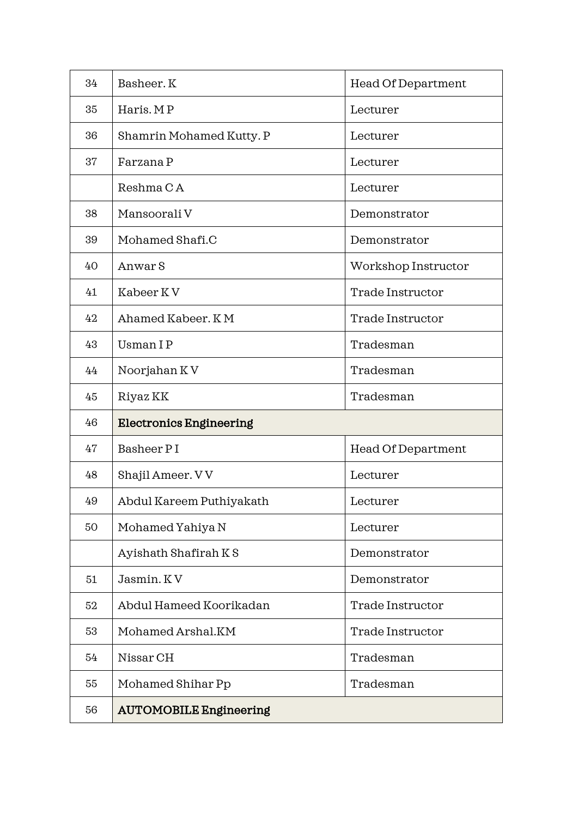| 34 | Basheer. K                     | <b>Head Of Department</b> |
|----|--------------------------------|---------------------------|
| 35 | Haris. MP                      | Lecturer                  |
| 36 | Shamrin Mohamed Kutty. P       | Lecturer                  |
| 37 | Farzana P                      | Lecturer                  |
|    | Reshma CA                      | Lecturer                  |
| 38 | Mansoorali V                   | Demonstrator              |
| 39 | Mohamed Shafi.C                | Demonstrator              |
| 40 | Anwar S                        | Workshop Instructor       |
| 41 | Kabeer KV                      | Trade Instructor          |
| 42 | Ahamed Kabeer, KM              | Trade Instructor          |
| 43 | <b>Usman IP</b>                | Tradesman                 |
| 44 | Noorjahan KV                   | Tradesman                 |
| 45 | Riyaz KK                       | Tradesman                 |
| 46 | <b>Electronics Engineering</b> |                           |
| 47 | Basheer PI                     | Head Of Department        |
| 48 | Shajil Ameer. VV               | Lecturer                  |
| 49 | Abdul Kareem Puthiyakath       | Lecturer                  |
| 50 | Mohamed Yahiya N               | Lecturer                  |
|    | Ayishath Shafirah KS           | Demonstrator              |
| 51 | Jasmin. KV                     | Demonstrator              |
| 52 | Abdul Hameed Koorikadan        | Trade Instructor          |
| 53 | Mohamed Arshal.KM              | Trade Instructor          |
| 54 | Nissar CH                      | Tradesman                 |
| 55 | Mohamed Shihar Pp              | Tradesman                 |
| 56 | <b>AUTOMOBILE Engineering</b>  |                           |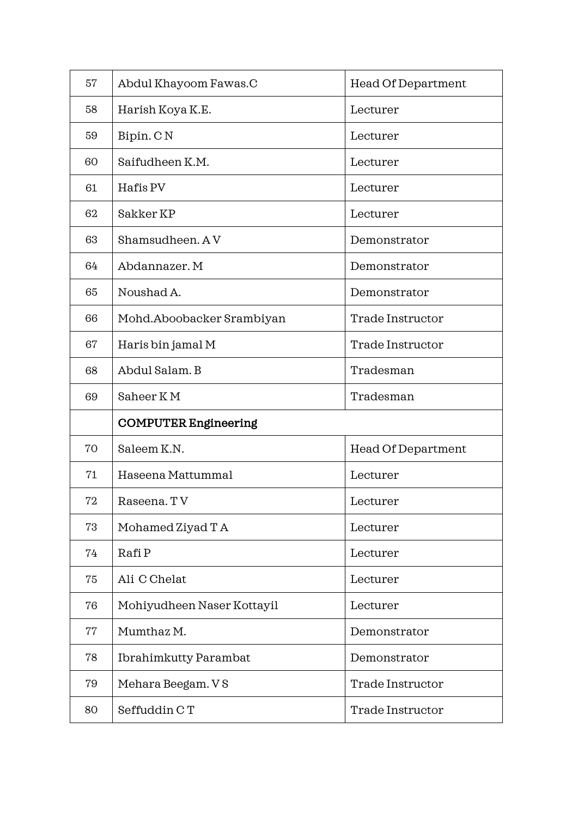| 57 | Abdul Khayoom Fawas.C        | <b>Head Of Department</b> |
|----|------------------------------|---------------------------|
| 58 | Harish Koya K.E.             | Lecturer                  |
| 59 | Bipin. CN                    | Lecturer                  |
| 60 | Saifudheen K.M.              | Lecturer                  |
| 61 | Hafis PV                     | Lecturer                  |
| 62 | Sakker KP                    | Lecturer                  |
| 63 | Shamsudheen. AV              | Demonstrator              |
| 64 | Abdannazer. M                | Demonstrator              |
| 65 | Noushad A.                   | Demonstrator              |
| 66 | Mohd.Aboobacker Srambiyan    | Trade Instructor          |
| 67 | Haris bin jamal M            | Trade Instructor          |
| 68 | Abdul Salam. B               | Tradesman                 |
| 69 | Saheer KM                    | Tradesman                 |
|    | <b>COMPUTER Engineering</b>  |                           |
| 70 | Saleem K.N.                  | <b>Head Of Department</b> |
| 71 | Haseena Mattummal            | Lecturer                  |
| 72 | Raseena. TV                  | Lecturer                  |
| 73 | Mohamed Ziyad T A            | Lecturer                  |
| 74 | Rafi P                       | Lecturer                  |
| 75 | Ali C Chelat                 | Lecturer                  |
| 76 | Mohiyudheen Naser Kottayil   | Lecturer                  |
| 77 | Mumthaz M.                   | Demonstrator              |
| 78 | <b>Ibrahimkutty Parambat</b> | Demonstrator              |
| 79 | Mehara Beegam. V S           | Trade Instructor          |
| 80 | Seffuddin CT                 | Trade Instructor          |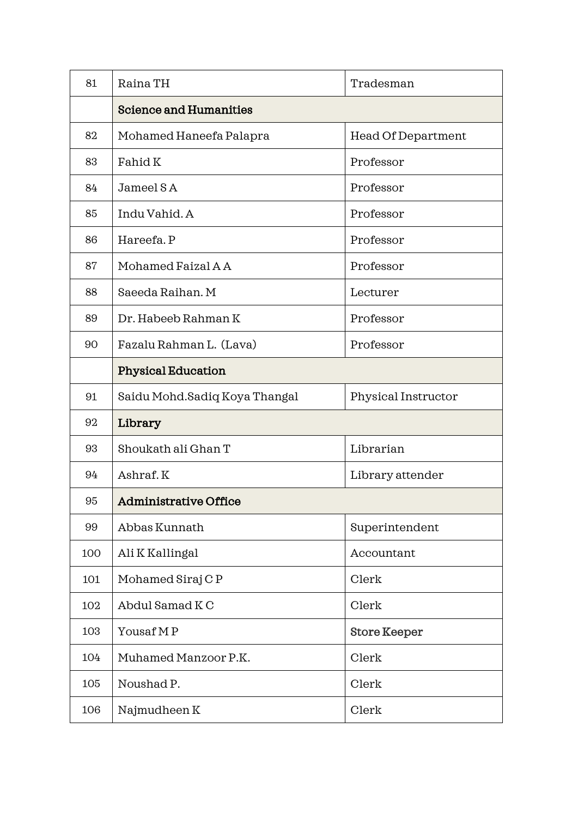| 81  | Raina TH                      | Tradesman           |
|-----|-------------------------------|---------------------|
|     | <b>Science and Humanities</b> |                     |
| 82  | Mohamed Haneefa Palapra       | Head Of Department  |
| 83  | Fahid K                       | Professor           |
| 84  | Jameel SA                     | Professor           |
| 85  | Indu Vahid. A                 | Professor           |
| 86  | Hareefa. P                    | Professor           |
| 87  | Mohamed Faizal A A            | Professor           |
| 88  | Saeeda Raihan. M              | Lecturer            |
| 89  | Dr. Habeeb Rahman K           | Professor           |
| 90  | Fazalu Rahman L. (Lava)       | Professor           |
|     | <b>Physical Education</b>     |                     |
| 91  | Saidu Mohd.Sadiq Koya Thangal | Physical Instructor |
| 92  | Library                       |                     |
| 93  | Shoukath ali Ghan T           | Librarian           |
| 94  | Ashraf.K                      | Library attender    |
| 95  | <b>Administrative Office</b>  |                     |
| 99  | Abbas Kunnath                 | Superintendent      |
| 100 | Ali K Kallingal               | Accountant          |
| 101 | Mohamed Siraj CP              | Clerk               |
| 102 | Abdul Samad KC                | Clerk               |
| 103 | Yousaf MP                     | <b>Store Keeper</b> |
| 104 | Muhamed Manzoor P.K.          | Clerk               |
| 105 | Noushad P.                    | Clerk               |
| 106 | Najmudheen K                  | Clerk               |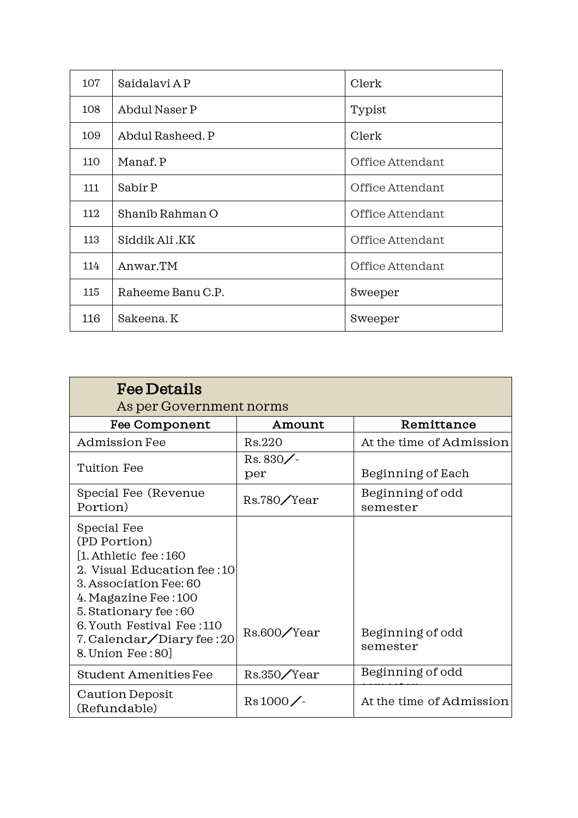| 107 | Saidalavi AP      | Clerk            |
|-----|-------------------|------------------|
| 108 | Abdul Naser P     | Typist           |
| 109 | Abdul Rasheed. P  | Clerk            |
| 110 | Manaf. P          | Office Attendant |
| 111 | Sabir P           | Office Attendant |
| 112 | Shanib Rahman O   | Office Attendant |
| 113 | Siddik Ali .KK    | Office Attendant |
| 114 | Anwar.TM          | Office Attendant |
| 115 | Raheeme Banu C.P. | Sweeper          |
| 116 | Sakeena. K        | Sweeper          |

| <b>Fee Details</b><br>As per Government norms                                                                                                                                                                                                      |                |                              |
|----------------------------------------------------------------------------------------------------------------------------------------------------------------------------------------------------------------------------------------------------|----------------|------------------------------|
| Fee Component                                                                                                                                                                                                                                      | Amount         | Remittance                   |
| <b>Admission Fee</b>                                                                                                                                                                                                                               | Rs.220         | At the time of Admission     |
| Tuition Fee                                                                                                                                                                                                                                        | Rs.830/<br>per | Beginning of Each            |
| Special Fee (Revenue<br>Portion)                                                                                                                                                                                                                   | Rs.780/Year    | Beginning of odd<br>semester |
| Special Fee<br>(PD Portion)<br>$[1.$ Athletic fee : 160<br>2. Visual Education fee: 10<br>3. Association Fee: 60<br>4. Magazine Fee : 100<br>5. Stationary fee: 60<br>6. Youth Festival Fee: 110<br>7. Calendar/Diary fee: 20<br>8. Union Fee: 80] | Rs.600/Year    | Beginning of odd<br>semester |
| Student Amenities Fee                                                                                                                                                                                                                              | Rs.350/Year    | Beginning of odd             |
| <b>Caution Deposit</b><br>(Refundable)                                                                                                                                                                                                             | $Rs 1000$ /-   | At the time of Admission     |